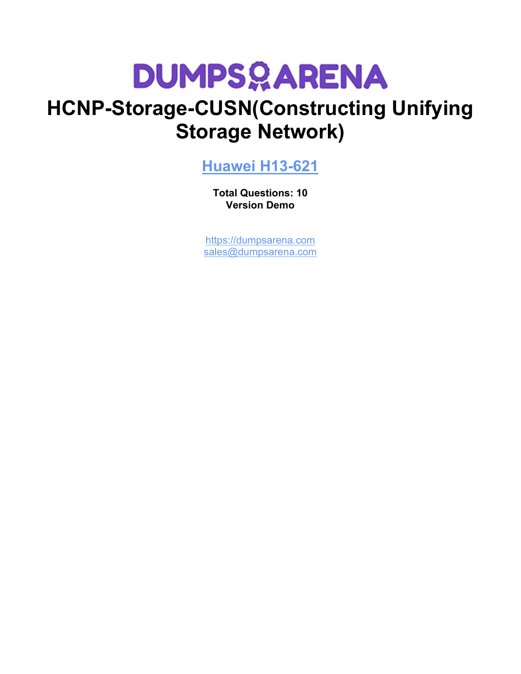# **DUMPSOARENA**

## **HCNP-Storage-CUSN(Constructing Unifying Storage Network)**

### **[Huawei H13-621](https://dumpsarena.com/exam/h13-621/)**

**Total Questions: 10 Version Demo**

[https://dumpsarena.com](https://dumpsarena.com/) [sales@dumpsarena.com](mailto:sales@dumpsarena.com)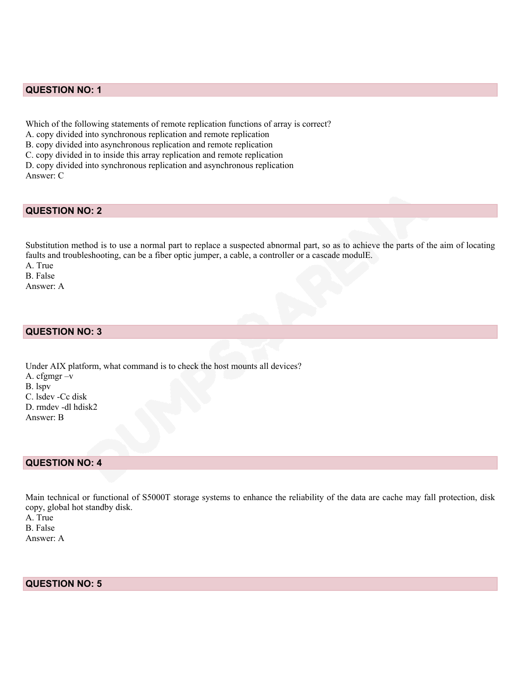#### **QUESTION NO: 1**

Which of the following statements of remote replication functions of array is correct? A. copy divided into synchronous replication and remote replication B. copy divided into asynchronous replication and remote replication C. copy divided in to inside this array replication and remote replication D. copy divided into synchronous replication and asynchronous replication Answer: C

#### **QUESTION NO: 2**

Substitution method is to use a normal part to replace a suspected abnormal part, so as to achieve the parts of the aim of locating faults and troubleshooting, can be a fiber optic jumper, a cable, a controller or a cascade modulE.

A. True B. False Answer: A

#### **QUESTION NO: 3**

Under AIX platform, what command is to check the host mounts all devices? A. cfgmgr –v B. lspv C. lsdev -Cc disk D. rmdev -dl hdisk2 Answer: B

#### **QUESTION NO: 4**

Main technical or functional of S5000T storage systems to enhance the reliability of the data are cache may fall protection, disk copy, global hot standby disk.

A. True B. False Answer: A

**QUESTION NO: 5**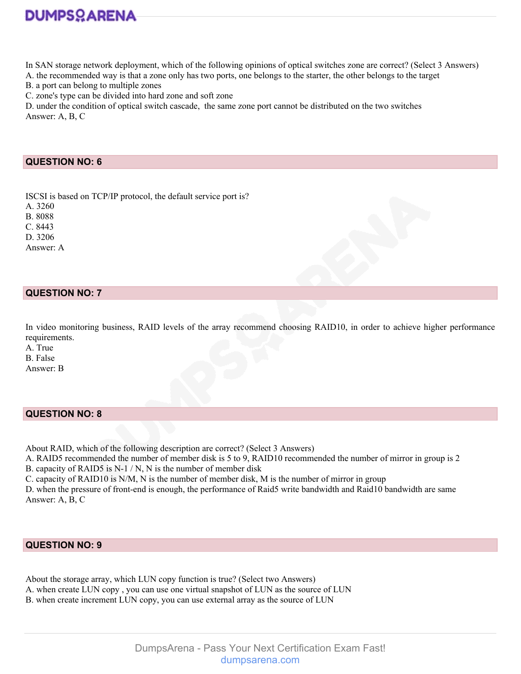

In SAN storage network deployment, which of the following opinions of optical switches zone are correct? (Select 3 Answers)

A. the recommended way is that a zone only has two ports, one belongs to the starter, the other belongs to the target

B. a port can belong to multiple zones

C. zone's type can be divided into hard zone and soft zone

D. under the condition of optical switch cascade, the same zone port cannot be distributed on the two switches Answer: A, B, C

#### **QUESTION NO: 6**

ISCSI is based on TCP/IP protocol, the default service port is? A. 3260 B. 8088 C. 8443 D. 3206 Answer: A

#### **QUESTION NO: 7**

In video monitoring business, RAID levels of the array recommend choosing RAID10, in order to achieve higher performance requirements.

A. True B. False Answer: B

#### **QUESTION NO: 8**

About RAID, which of the following description are correct? (Select 3 Answers)

A. RAID5 recommended the number of member disk is 5 to 9, RAID10 recommended the number of mirror in group is 2 B. capacity of RAID5 is N-1 / N, N is the number of member disk

C. capacity of RAID10 is N/M, N is the number of member disk, M is the number of mirror in group

D. when the pressure of front-end is enough, the performance of Raid5 write bandwidth and Raid10 bandwidth are same Answer: A, B, C

#### **QUESTION NO: 9**

About the storage array, which LUN copy function is true? (Select two Answers)

- A. when create LUN copy , you can use one virtual snapshot of LUN as the source of LUN
- B. when create increment LUN copy, you can use external array as the source of LUN